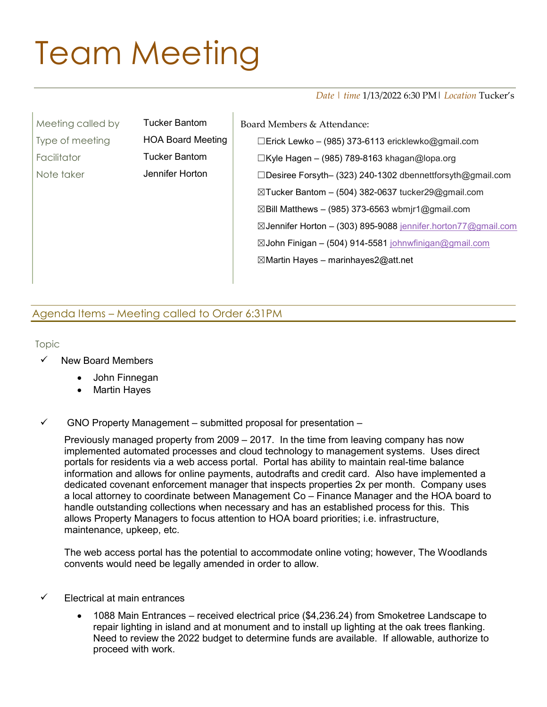## Team Meeting

Date | time 1/13/2022 6:30 PM | *Location* Tucker's

| Meeting called by | Tucker Bantom            | Board Members & Attendance:                                      |
|-------------------|--------------------------|------------------------------------------------------------------|
| Type of meeting   | <b>HOA Board Meeting</b> | □Erick Lewko – (985) 373-6113 ericklewko@gmail.com               |
| Facilitator       | <b>Tucker Bantom</b>     | $\Box$ Kyle Hagen - (985) 789-8163 khagan@lopa.org               |
| Note taker        | Jennifer Horton          | □Desiree Forsyth- (323) 240-1302 dbennettforsyth@gmail.com       |
|                   |                          | $\boxtimes$ Tucker Bantom – (504) 382-0637 tucker29@gmail.com    |
|                   |                          | $\boxtimes$ Bill Matthews – (985) 373-6563 wbmjr1@gmail.com      |
|                   |                          | ⊠Jennifer Horton – (303) 895-9088 jennifer.horton77@gmail.com    |
|                   |                          | $\boxtimes$ John Finigan – (504) 914-5581 johnwfinigan@gmail.com |
|                   |                          | $\boxtimes$ Martin Hayes – marinhayes2@att.net                   |
|                   |                          |                                                                  |

## Agenda Items – Meeting called to Order 6:31PM

Topic

- New Board Members
	- John Finnegan
	- Martin Hayes
- $\checkmark$  GNO Property Management submitted proposal for presentation –

Previously managed property from 2009 – 2017. In the time from leaving company has now implemented automated processes and cloud technology to management systems. Uses direct portals for residents via a web access portal. Portal has ability to maintain real-time balance information and allows for online payments, autodrafts and credit card. Also have implemented a dedicated covenant enforcement manager that inspects properties 2x per month. Company uses a local attorney to coordinate between Management Co – Finance Manager and the HOA board to handle outstanding collections when necessary and has an established process for this. This allows Property Managers to focus attention to HOA board priorities; i.e. infrastructure, maintenance, upkeep, etc.

The web access portal has the potential to accommodate online voting; however, The Woodlands convents would need be legally amended in order to allow.

- $\checkmark$  Electrical at main entrances
	- 1088 Main Entrances received electrical price (\$4,236.24) from Smoketree Landscape to repair lighting in island and at monument and to install up lighting at the oak trees flanking. Need to review the 2022 budget to determine funds are available. If allowable, authorize to proceed with work.